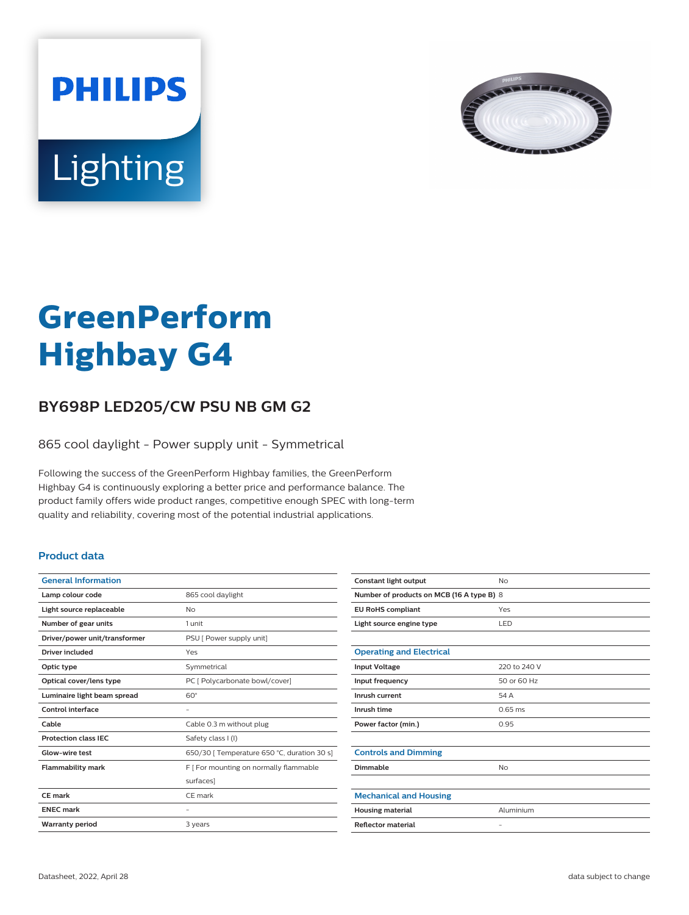



# **GreenPerform Highbay G4**

## **BY698P LED205/CW PSU NB GM G2**

865 cool daylight - Power supply unit - Symmetrical

Following the success of the GreenPerform Highbay families, the GreenPerform Highbay G4 is continuously exploring a better price and performance balance. The product family offers wide product ranges, competitive enough SPEC with long-term quality and reliability, covering most of the potential industrial applications.

#### **Product data**

| <b>General Information</b>    |                                             |
|-------------------------------|---------------------------------------------|
| Lamp colour code              | 865 cool daylight                           |
| Light source replaceable      | No                                          |
| Number of gear units          | 1 unit                                      |
| Driver/power unit/transformer | PSU [ Power supply unit]                    |
| Driver included               | Yes                                         |
| Optic type                    | Symmetrical                                 |
| Optical cover/lens type       | PC [ Polycarbonate bowl/cover]              |
| Luminaire light beam spread   | $60^\circ$                                  |
| Control interface             |                                             |
| Cable                         | Cable 0.3 m without plug                    |
| <b>Protection class IEC</b>   | Safety class I (I)                          |
| Glow-wire test                | 650/30   Temperature 650 °C, duration 30 s] |
| <b>Flammability mark</b>      | F [ For mounting on normally flammable      |
|                               | surfaces]                                   |
| CE mark                       | CF mark                                     |
| <b>FNFC</b> mark              |                                             |
| <b>Warranty period</b>        | 3 years                                     |

| Constant light output                     | <b>No</b>         |  |
|-------------------------------------------|-------------------|--|
| Number of products on MCB (16 A type B) 8 |                   |  |
| <b>EU RoHS compliant</b>                  | Yes               |  |
| Light source engine type                  | LED               |  |
|                                           |                   |  |
| <b>Operating and Electrical</b>           |                   |  |
| <b>Input Voltage</b>                      | 220 to 240 V      |  |
| Input frequency                           | 50 or 60 Hz       |  |
| Inrush current                            | 54 A              |  |
| Inrush time                               | $0.65$ ms         |  |
| Power factor (min.)                       | 0.95              |  |
|                                           |                   |  |
| <b>Controls and Dimming</b>               |                   |  |
| Dimmable                                  | No                |  |
|                                           |                   |  |
| <b>Mechanical and Housing</b>             |                   |  |
| <b>Housing material</b>                   | Aluminium         |  |
| <b>Reflector material</b>                 | $\qquad \qquad -$ |  |
|                                           |                   |  |